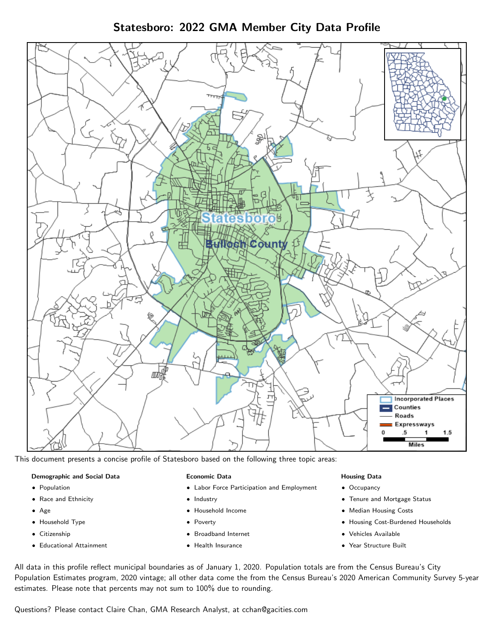Statesboro: 2022 GMA Member City Data Profile



This document presents a concise profile of Statesboro based on the following three topic areas:

#### Demographic and Social Data

- **•** Population
- Race and Ethnicity
- Age
- Household Type
- **Citizenship**
- Educational Attainment

#### Economic Data

- Labor Force Participation and Employment
- Industry
- Household Income
- Poverty
- Broadband Internet
- Health Insurance

#### Housing Data

- Occupancy
- Tenure and Mortgage Status
- Median Housing Costs
- Housing Cost-Burdened Households
- Vehicles Available
- Year Structure Built

All data in this profile reflect municipal boundaries as of January 1, 2020. Population totals are from the Census Bureau's City Population Estimates program, 2020 vintage; all other data come the from the Census Bureau's 2020 American Community Survey 5-year estimates. Please note that percents may not sum to 100% due to rounding.

Questions? Please contact Claire Chan, GMA Research Analyst, at [cchan@gacities.com.](mailto:cchan@gacities.com)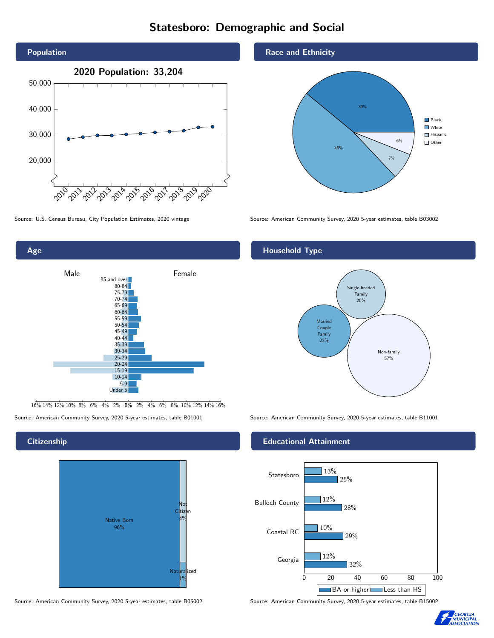# Statesboro: Demographic and Social





16% 14% 12% 10% 8% 6% 4% 2% 0% 2% 4% 6% 8% 10% 12% 14% 16%

# **Citizenship**



Source: American Community Survey, 2020 5-year estimates, table B05002 Source: American Community Survey, 2020 5-year estimates, table B15002

# Race and Ethnicity



Source: U.S. Census Bureau, City Population Estimates, 2020 vintage Source: American Community Survey, 2020 5-year estimates, table B03002

# Household Type



Source: American Community Survey, 2020 5-year estimates, table B01001 Source: American Community Survey, 2020 5-year estimates, table B11001

### Educational Attainment



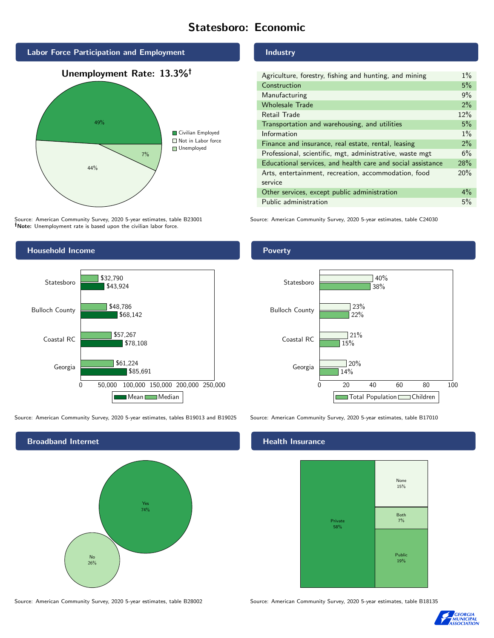# Statesboro: Economic



Source: American Community Survey, 2020 5-year estimates, table B23001 Note: Unemployment rate is based upon the civilian labor force.

# Household Income 0 50,000 100,000 150,000 200,000 250,000 Georgia Coastal RC Bulloch County Statesboro \$85,691 \$78,108 \$68,142 \$43,924 \$61,224 \$57,267 \$48,786 \$32,790

Mean Median

Source: American Community Survey, 2020 5-year estimates, tables B19013 and B19025 Source: American Community Survey, 2020 5-year estimates, table B17010



Industry

| Agriculture, forestry, fishing and hunting, and mining      | $1\%$ |
|-------------------------------------------------------------|-------|
| Construction                                                | 5%    |
| Manufacturing                                               | 9%    |
| <b>Wholesale Trade</b>                                      | 2%    |
| Retail Trade                                                | 12%   |
| Transportation and warehousing, and utilities               | 5%    |
| Information                                                 | $1\%$ |
| Finance and insurance, real estate, rental, leasing         | 2%    |
| Professional, scientific, mgt, administrative, waste mgt    | 6%    |
| Educational services, and health care and social assistance | 28%   |
| Arts, entertainment, recreation, accommodation, food        | 20%   |
| service                                                     |       |
| Other services, except public administration                | $4\%$ |
| Public administration                                       | 5%    |

Source: American Community Survey, 2020 5-year estimates, table C24030

# Poverty



### Health Insurance



Source: American Community Survey, 2020 5-year estimates, table B28002 Source: American Community Survey, 2020 5-year estimates, table B18135